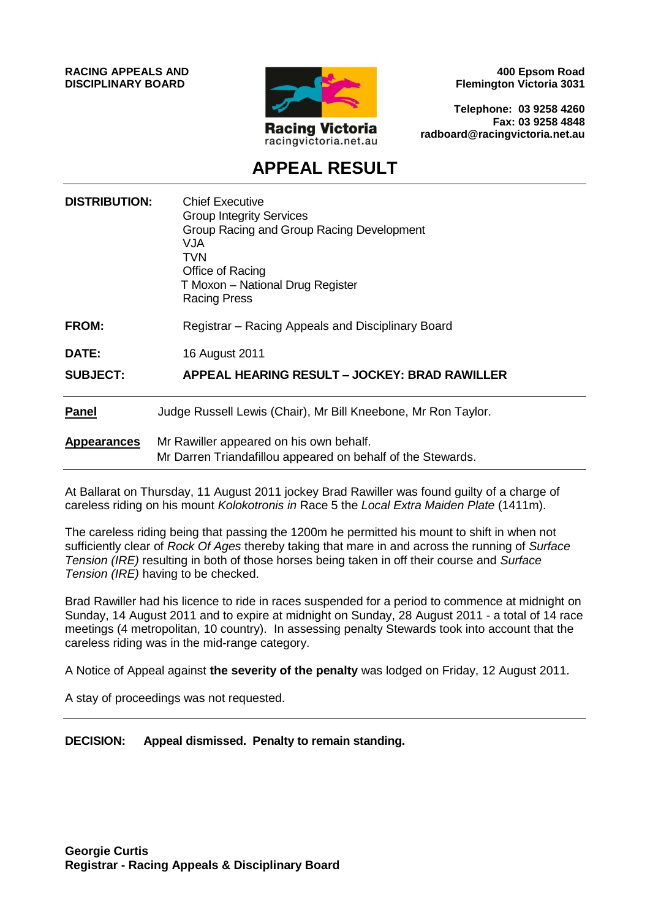**RACING APPEALS AND DISCIPLINARY BOARD**



**400 Epsom Road Flemington Victoria 3031**

**Telephone: 03 9258 4260 Fax: 03 9258 4848 radboard@racingvictoria.net.au**

## **APPEAL RESULT**

| <b>DISTRIBUTION:</b> | <b>Chief Executive</b><br><b>Group Integrity Services</b><br>Group Racing and Group Racing Development<br>VJA<br><b>TVN</b><br>Office of Racing<br>T Moxon - National Drug Register<br><b>Racing Press</b> |
|----------------------|------------------------------------------------------------------------------------------------------------------------------------------------------------------------------------------------------------|
| <b>FROM:</b>         | Registrar – Racing Appeals and Disciplinary Board                                                                                                                                                          |
| DATE:                | 16 August 2011                                                                                                                                                                                             |
| <b>SUBJECT:</b>      | APPEAL HEARING RESULT - JOCKEY: BRAD RAWILLER                                                                                                                                                              |
| <b>Panel</b>         | Judge Russell Lewis (Chair), Mr Bill Kneebone, Mr Ron Taylor.                                                                                                                                              |
| <b>Appearances</b>   | Mr Rawiller appeared on his own behalf.<br>Mr Darren Triandafillou appeared on behalf of the Stewards.                                                                                                     |

At Ballarat on Thursday, 11 August 2011 jockey Brad Rawiller was found guilty of a charge of careless riding on his mount *Kolokotronis in* Race 5 the *Local Extra Maiden Plate* (1411m).

The careless riding being that passing the 1200m he permitted his mount to shift in when not sufficiently clear of *Rock Of Ages* thereby taking that mare in and across the running of *Surface Tension (IRE)* resulting in both of those horses being taken in off their course and *Surface Tension (IRE)* having to be checked.

Brad Rawiller had his licence to ride in races suspended for a period to commence at midnight on Sunday, 14 August 2011 and to expire at midnight on Sunday, 28 August 2011 - a total of 14 race meetings (4 metropolitan, 10 country). In assessing penalty Stewards took into account that the careless riding was in the mid-range category.

A Notice of Appeal against **the severity of the penalty** was lodged on Friday, 12 August 2011.

A stay of proceedings was not requested.

**DECISION: Appeal dismissed. Penalty to remain standing.**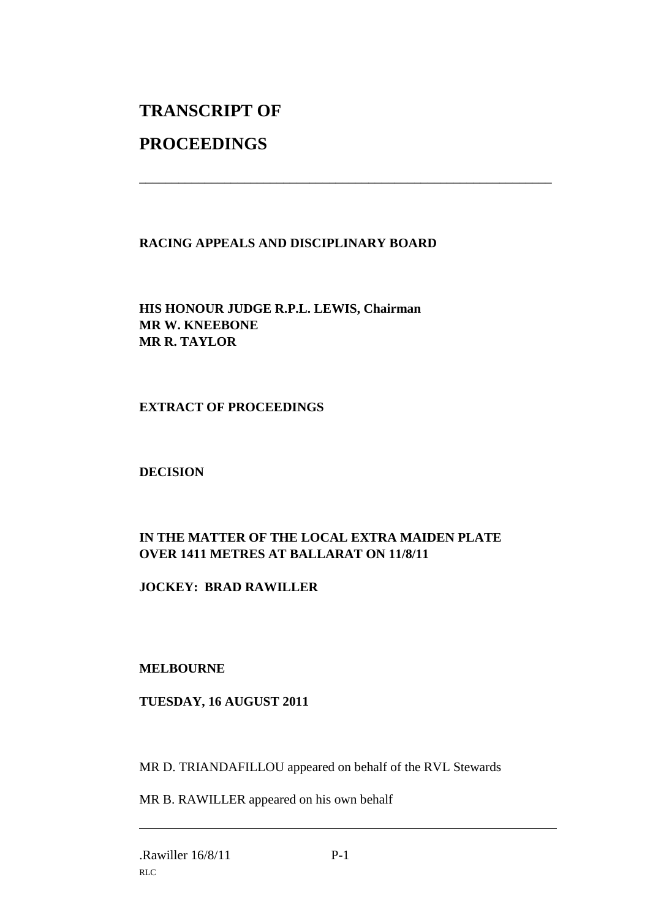# **TRANSCRIPT OF**

## **PROCEEDINGS**

#### **RACING APPEALS AND DISCIPLINARY BOARD**

\_\_\_\_\_\_\_\_\_\_\_\_\_\_\_\_\_\_\_\_\_\_\_\_\_\_\_\_\_\_\_\_\_\_\_\_\_\_\_\_\_\_\_\_\_\_\_\_\_\_\_\_\_\_\_\_\_\_\_\_\_\_\_

**HIS HONOUR JUDGE R.P.L. LEWIS, Chairman MR W. KNEEBONE MR R. TAYLOR**

**EXTRACT OF PROCEEDINGS**

**DECISION**

### **IN THE MATTER OF THE LOCAL EXTRA MAIDEN PLATE OVER 1411 METRES AT BALLARAT ON 11/8/11**

**JOCKEY: BRAD RAWILLER**

#### **MELBOURNE**

#### **TUESDAY, 16 AUGUST 2011**

MR D. TRIANDAFILLOU appeared on behalf of the RVL Stewards

MR B. RAWILLER appeared on his own behalf